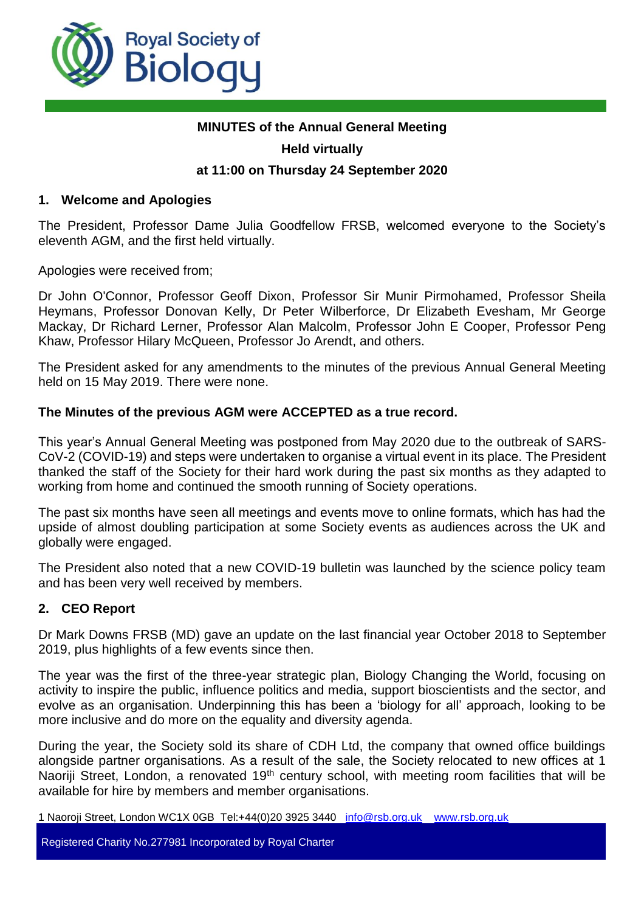

# **MINUTES of the Annual General Meeting Held virtually**

## **at 11:00 on Thursday 24 September 2020**

## **1. Welcome and Apologies**

The President, Professor Dame Julia Goodfellow FRSB, welcomed everyone to the Society's eleventh AGM, and the first held virtually.

Apologies were received from;

Dr John O'Connor, Professor Geoff Dixon, Professor Sir Munir Pirmohamed, Professor Sheila Heymans, Professor Donovan Kelly, Dr Peter Wilberforce, Dr Elizabeth Evesham, Mr George Mackay, Dr Richard Lerner, Professor Alan Malcolm, Professor John E Cooper, Professor Peng Khaw, Professor Hilary McQueen, Professor Jo Arendt, and others.

The President asked for any amendments to the minutes of the previous Annual General Meeting held on 15 May 2019. There were none.

#### **The Minutes of the previous AGM were ACCEPTED as a true record.**

This year's Annual General Meeting was postponed from May 2020 due to the outbreak of SARS-CoV-2 (COVID-19) and steps were undertaken to organise a virtual event in its place. The President thanked the staff of the Society for their hard work during the past six months as they adapted to working from home and continued the smooth running of Society operations.

The past six months have seen all meetings and events move to online formats, which has had the upside of almost doubling participation at some Society events as audiences across the UK and globally were engaged.

The President also noted that a new COVID-19 bulletin was launched by the science policy team and has been very well received by members.

## **2. CEO Report**

Dr Mark Downs FRSB (MD) gave an update on the last financial year October 2018 to September 2019, plus highlights of a few events since then.

The year was the first of the three-year strategic plan, Biology Changing the World, focusing on activity to inspire the public, influence politics and media, support bioscientists and the sector, and evolve as an organisation. Underpinning this has been a 'biology for all' approach, looking to be more inclusive and do more on the equality and diversity agenda.

During the year, the Society sold its share of CDH Ltd, the company that owned office buildings alongside partner organisations. As a result of the sale, the Society relocated to new offices at 1 Naoriji Street, London, a renovated 19<sup>th</sup> century school, with meeting room facilities that will be available for hire by members and member organisations.

1 Naoroji Street, London WC1X 0GB Tel:+44(0)20 3925 3440 [info@rsb.org.uk](mailto:info@rsb.org.uk) [www.rsb.org.uk](http://www.rsb.org.uk/)

Registered Charity No.277981 Incorporated by Royal Charter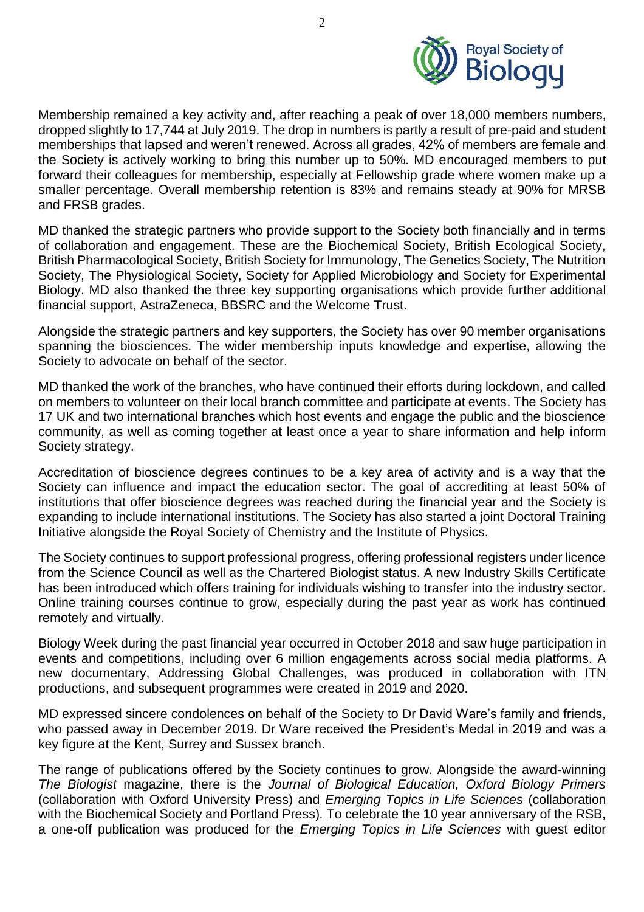

Membership remained a key activity and, after reaching a peak of over 18,000 members numbers, dropped slightly to 17,744 at July 2019. The drop in numbers is partly a result of pre-paid and student memberships that lapsed and weren't renewed. Across all grades, 42% of members are female and the Society is actively working to bring this number up to 50%. MD encouraged members to put forward their colleagues for membership, especially at Fellowship grade where women make up a smaller percentage. Overall membership retention is 83% and remains steady at 90% for MRSB and FRSB grades.

MD thanked the strategic partners who provide support to the Society both financially and in terms of collaboration and engagement. These are the Biochemical Society, British Ecological Society, British Pharmacological Society, British Society for Immunology, The Genetics Society, The Nutrition Society, The Physiological Society, Society for Applied Microbiology and Society for Experimental Biology. MD also thanked the three key supporting organisations which provide further additional financial support, AstraZeneca, BBSRC and the Welcome Trust.

Alongside the strategic partners and key supporters, the Society has over 90 member organisations spanning the biosciences. The wider membership inputs knowledge and expertise, allowing the Society to advocate on behalf of the sector.

MD thanked the work of the branches, who have continued their efforts during lockdown, and called on members to volunteer on their local branch committee and participate at events. The Society has 17 UK and two international branches which host events and engage the public and the bioscience community, as well as coming together at least once a year to share information and help inform Society strategy.

Accreditation of bioscience degrees continues to be a key area of activity and is a way that the Society can influence and impact the education sector. The goal of accrediting at least 50% of institutions that offer bioscience degrees was reached during the financial year and the Society is expanding to include international institutions. The Society has also started a joint Doctoral Training Initiative alongside the Royal Society of Chemistry and the Institute of Physics.

The Society continues to support professional progress, offering professional registers under licence from the Science Council as well as the Chartered Biologist status. A new Industry Skills Certificate has been introduced which offers training for individuals wishing to transfer into the industry sector. Online training courses continue to grow, especially during the past year as work has continued remotely and virtually.

Biology Week during the past financial year occurred in October 2018 and saw huge participation in events and competitions, including over 6 million engagements across social media platforms. A new documentary, Addressing Global Challenges, was produced in collaboration with ITN productions, and subsequent programmes were created in 2019 and 2020.

MD expressed sincere condolences on behalf of the Society to Dr David Ware's family and friends, who passed away in December 2019. Dr Ware received the President's Medal in 2019 and was a key figure at the Kent, Surrey and Sussex branch.

The range of publications offered by the Society continues to grow. Alongside the award-winning *The Biologist* magazine, there is the *Journal of Biological Education, Oxford Biology Primers*  (collaboration with Oxford University Press) and *Emerging Topics in Life Sciences* (collaboration with the Biochemical Society and Portland Press)*.* To celebrate the 10 year anniversary of the RSB, a one-off publication was produced for the *Emerging Topics in Life Sciences* with guest editor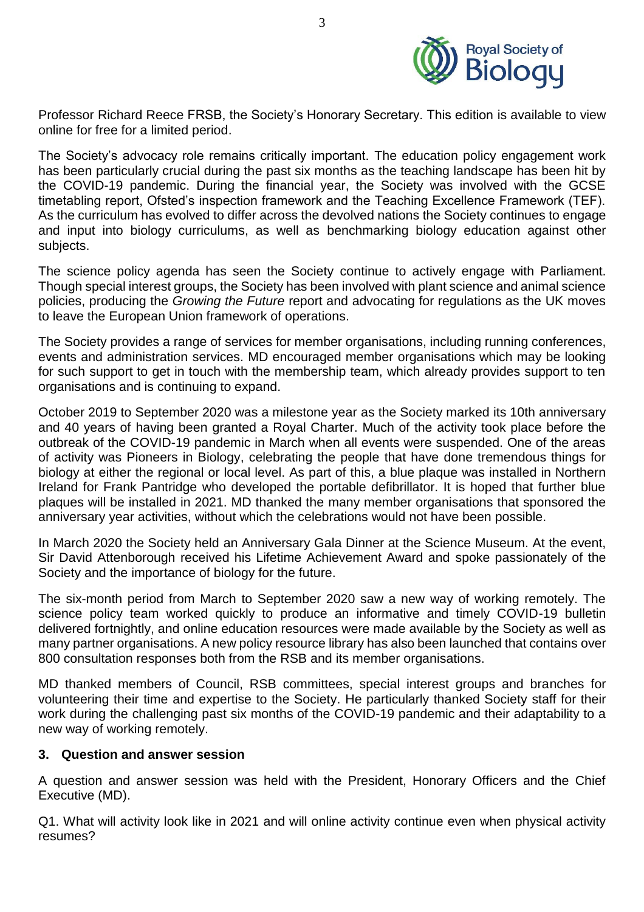

Professor Richard Reece FRSB, the Society's Honorary Secretary. This edition is available to view online for free for a limited period.

The Society's advocacy role remains critically important. The education policy engagement work has been particularly crucial during the past six months as the teaching landscape has been hit by the COVID-19 pandemic. During the financial year, the Society was involved with the GCSE timetabling report, Ofsted's inspection framework and the Teaching Excellence Framework (TEF). As the curriculum has evolved to differ across the devolved nations the Society continues to engage and input into biology curriculums, as well as benchmarking biology education against other subjects.

The science policy agenda has seen the Society continue to actively engage with Parliament. Though special interest groups, the Society has been involved with plant science and animal science policies, producing the *Growing the Future* report and advocating for regulations as the UK moves to leave the European Union framework of operations.

The Society provides a range of services for member organisations, including running conferences, events and administration services. MD encouraged member organisations which may be looking for such support to get in touch with the membership team, which already provides support to ten organisations and is continuing to expand.

October 2019 to September 2020 was a milestone year as the Society marked its 10th anniversary and 40 years of having been granted a Royal Charter. Much of the activity took place before the outbreak of the COVID-19 pandemic in March when all events were suspended. One of the areas of activity was Pioneers in Biology, celebrating the people that have done tremendous things for biology at either the regional or local level. As part of this, a blue plaque was installed in Northern Ireland for Frank Pantridge who developed the portable defibrillator. It is hoped that further blue plaques will be installed in 2021. MD thanked the many member organisations that sponsored the anniversary year activities, without which the celebrations would not have been possible.

In March 2020 the Society held an Anniversary Gala Dinner at the Science Museum. At the event, Sir David Attenborough received his Lifetime Achievement Award and spoke passionately of the Society and the importance of biology for the future.

The six-month period from March to September 2020 saw a new way of working remotely. The science policy team worked quickly to produce an informative and timely COVID-19 bulletin delivered fortnightly, and online education resources were made available by the Society as well as many partner organisations. A new policy resource library has also been launched that contains over 800 consultation responses both from the RSB and its member organisations.

MD thanked members of Council, RSB committees, special interest groups and branches for volunteering their time and expertise to the Society. He particularly thanked Society staff for their work during the challenging past six months of the COVID-19 pandemic and their adaptability to a new way of working remotely.

## **3. Question and answer session**

A question and answer session was held with the President, Honorary Officers and the Chief Executive (MD).

Q1. What will activity look like in 2021 and will online activity continue even when physical activity resumes?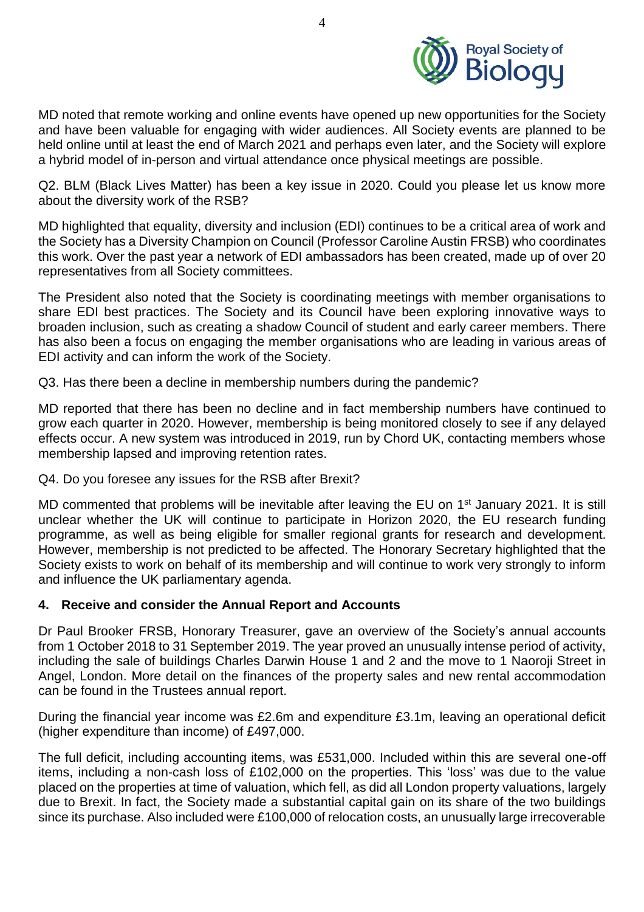

MD noted that remote working and online events have opened up new opportunities for the Society and have been valuable for engaging with wider audiences. All Society events are planned to be held online until at least the end of March 2021 and perhaps even later, and the Society will explore a hybrid model of in-person and virtual attendance once physical meetings are possible.

Q2. BLM (Black Lives Matter) has been a key issue in 2020. Could you please let us know more about the diversity work of the RSB?

MD highlighted that equality, diversity and inclusion (EDI) continues to be a critical area of work and the Society has a Diversity Champion on Council (Professor Caroline Austin FRSB) who coordinates this work. Over the past year a network of EDI ambassadors has been created, made up of over 20 representatives from all Society committees.

The President also noted that the Society is coordinating meetings with member organisations to share EDI best practices. The Society and its Council have been exploring innovative ways to broaden inclusion, such as creating a shadow Council of student and early career members. There has also been a focus on engaging the member organisations who are leading in various areas of EDI activity and can inform the work of the Society.

Q3. Has there been a decline in membership numbers during the pandemic?

MD reported that there has been no decline and in fact membership numbers have continued to grow each quarter in 2020. However, membership is being monitored closely to see if any delayed effects occur. A new system was introduced in 2019, run by Chord UK, contacting members whose membership lapsed and improving retention rates.

Q4. Do you foresee any issues for the RSB after Brexit?

MD commented that problems will be inevitable after leaving the EU on 1<sup>st</sup> January 2021. It is still unclear whether the UK will continue to participate in Horizon 2020, the EU research funding programme, as well as being eligible for smaller regional grants for research and development. However, membership is not predicted to be affected. The Honorary Secretary highlighted that the Society exists to work on behalf of its membership and will continue to work very strongly to inform and influence the UK parliamentary agenda.

## **4. Receive and consider the Annual Report and Accounts**

Dr Paul Brooker FRSB, Honorary Treasurer, gave an overview of the Society's annual accounts from 1 October 2018 to 31 September 2019. The year proved an unusually intense period of activity, including the sale of buildings Charles Darwin House 1 and 2 and the move to 1 Naoroji Street in Angel, London. More detail on the finances of the property sales and new rental accommodation can be found in the Trustees annual report.

During the financial year income was £2.6m and expenditure £3.1m, leaving an operational deficit (higher expenditure than income) of £497,000.

The full deficit, including accounting items, was £531,000. Included within this are several one-off items, including a non-cash loss of £102,000 on the properties. This 'loss' was due to the value placed on the properties at time of valuation, which fell, as did all London property valuations, largely due to Brexit. In fact, the Society made a substantial capital gain on its share of the two buildings since its purchase. Also included were £100,000 of relocation costs, an unusually large irrecoverable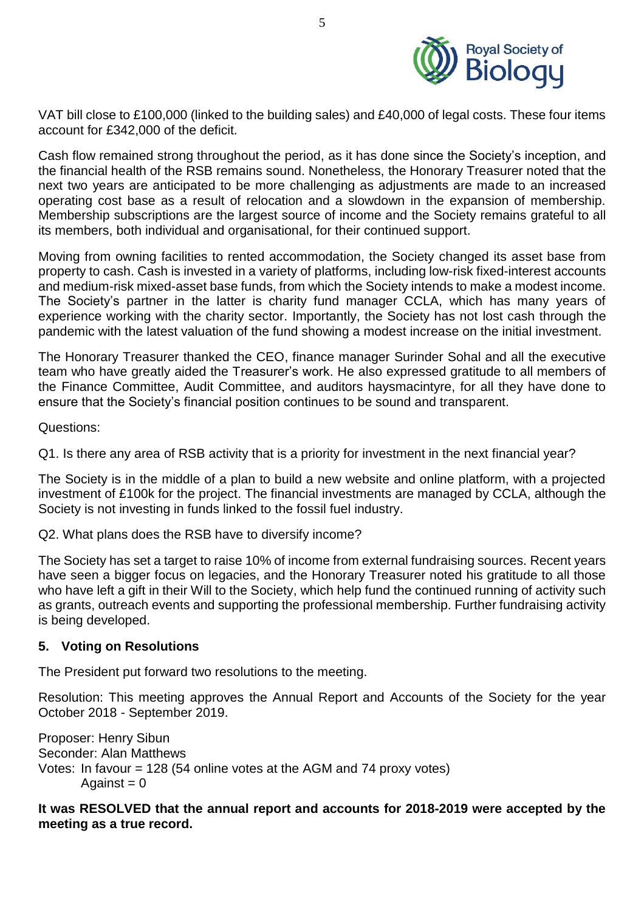

VAT bill close to £100,000 (linked to the building sales) and £40,000 of legal costs. These four items account for £342,000 of the deficit.

Cash flow remained strong throughout the period, as it has done since the Society's inception, and the financial health of the RSB remains sound. Nonetheless, the Honorary Treasurer noted that the next two years are anticipated to be more challenging as adjustments are made to an increased operating cost base as a result of relocation and a slowdown in the expansion of membership. Membership subscriptions are the largest source of income and the Society remains grateful to all its members, both individual and organisational, for their continued support.

Moving from owning facilities to rented accommodation, the Society changed its asset base from property to cash. Cash is invested in a variety of platforms, including low-risk fixed-interest accounts and medium-risk mixed-asset base funds, from which the Society intends to make a modest income. The Society's partner in the latter is charity fund manager CCLA, which has many years of experience working with the charity sector. Importantly, the Society has not lost cash through the pandemic with the latest valuation of the fund showing a modest increase on the initial investment.

The Honorary Treasurer thanked the CEO, finance manager Surinder Sohal and all the executive team who have greatly aided the Treasurer's work. He also expressed gratitude to all members of the Finance Committee, Audit Committee, and auditors haysmacintyre, for all they have done to ensure that the Society's financial position continues to be sound and transparent.

Questions:

Q1. Is there any area of RSB activity that is a priority for investment in the next financial year?

The Society is in the middle of a plan to build a new website and online platform, with a projected investment of £100k for the project. The financial investments are managed by CCLA, although the Society is not investing in funds linked to the fossil fuel industry.

Q2. What plans does the RSB have to diversify income?

The Society has set a target to raise 10% of income from external fundraising sources. Recent years have seen a bigger focus on legacies, and the Honorary Treasurer noted his gratitude to all those who have left a gift in their Will to the Society, which help fund the continued running of activity such as grants, outreach events and supporting the professional membership. Further fundraising activity is being developed.

## **5. Voting on Resolutions**

The President put forward two resolutions to the meeting.

Resolution: This meeting approves the Annual Report and Accounts of the Society for the year October 2018 - September 2019.

Proposer: Henry Sibun Seconder: Alan Matthews Votes: In favour = 128 (54 online votes at the AGM and 74 proxy votes) Against  $= 0$ 

#### **It was RESOLVED that the annual report and accounts for 2018-2019 were accepted by the meeting as a true record.**